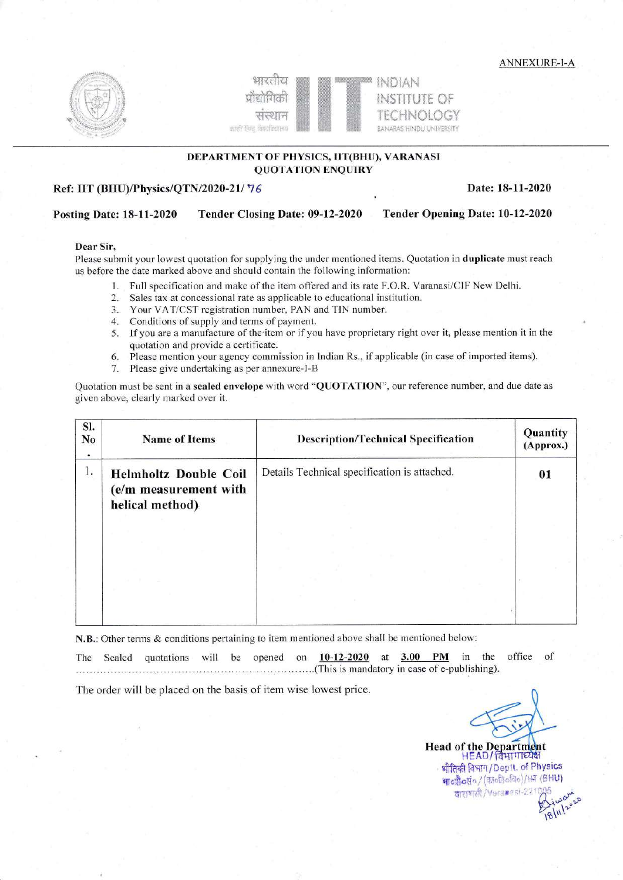**ANNEXURE-I-A** 





## DEPARTMENT OF PHYSICS, IIT(BHU), VARANASI **QUOTATION ENQUIRY**

## Ref: IIT (BHU)/Physics/QTN/2020-21/76

Date: 18-11-2020

#### Tender Opening Date: 10-12-2020 **Posting Date: 18-11-2020** Tender Closing Date: 09-12-2020

## Dear Sir,

Please submit your lowest quotation for supplying the under mentioned items. Quotation in **duplicate** must reach us before the date marked above and should contain the following information:

- 1. Full specification and make of the item offered and its rate F.O.R. Varanasi/CIF New Delhi.
- 2. Sales tax at concessional rate as applicable to educational institution.
- 3. Your VAT/CST registration number, PAN and TIN number.
- 4. Conditions of supply and terms of payment.
- 5. If you are a manufacture of the item or if you have proprietary right over it, please mention it in the quotation and provide a certificate.
- Please mention your agency commission in Indian Rs., if applicable (in case of imported items). 6.
- 7. Please give undertaking as per annexure-I-B

Quotation must be sent in a sealed envelope with word "QUOTATION", our reference number, and due date as given above, clearly marked over it.

| SI.<br>N <sub>0</sub> | <b>Name of Items</b>                                                     | <b>Description/Technical Specification</b>   | Quantity<br>(Approx.) |
|-----------------------|--------------------------------------------------------------------------|----------------------------------------------|-----------------------|
| 1.                    | <b>Helmholtz Double Coil</b><br>(e/m measurement with<br>helical method) | Details Technical specification is attached. | 01                    |
|                       |                                                                          |                                              |                       |

N.B.: Other terms & conditions pertaining to item mentioned above shall be mentioned below:

office quotations will be opened on  $10-12-2020$  at  $3.00$  $PM$ in the of The Sealed (This is mandatory in case of e-publishing).

The order will be placed on the basis of item wise lowest price.

Head of the Department

भौतिकी विभाग / Deptt. of Physics भावप्रौ०सं० / (कार्कविविव) / HT (BHU) वाराणसी/Veramesi-22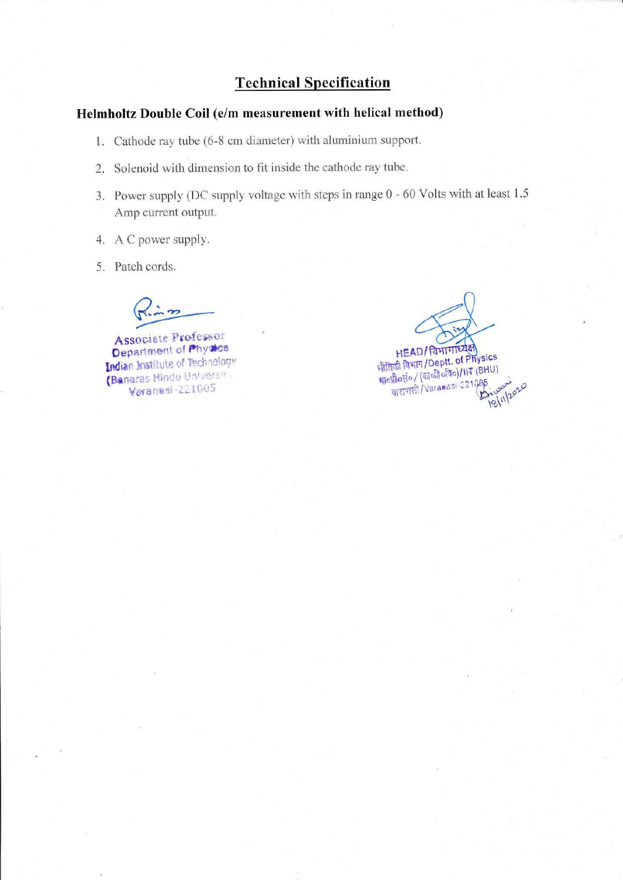# **Technical Specification**

## Helmholtz Double Coil (e/m measurement with helical method)

- 1. Cathode ray tube (6-8 cm diameter) with aluminium support.
- 2. Solenoid with dimension to fit inside the cathode ray tube.
- 3. Power supply (DC supply voltage with steps in range 0 60 Volts with at least 1.5 Amp current output.
- 4. A C power supply.
- 5. Patch cords.

Associate Professor Department of Physics Indian Institute of Technology (Banaras Hindu Universiti Varanasi-221005

HEAD/ विभागाध्यक्ष<br>भौतिकी विभाग/Deptt. of Physics<br>भाव्यौवरांव/ (श्वावीहैवविव)/IIT (BHU) याराणसी/Varamasi-22108 18/11/2020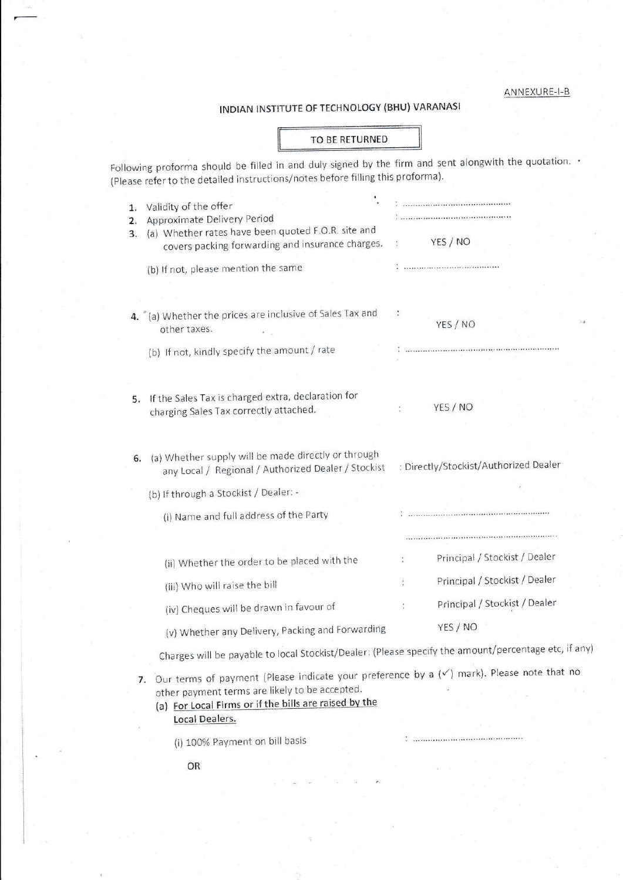ANNEXURE-I-B

## INDIAN INSTITUTE OF TECHNOLOGY (BHU) VARANASI

### TO BE RETURNED

Following proforma should be filled in and duly signed by the firm and sent alongwith the quotation. (Please refer to the detailed instructions/notes before filling this proforma).

| 1.<br>2.                                                                                             | Validity of the offer<br>Approximate Delivery Period<br>(a) Whether rates have been quoted F.O.R. site and |                                       |  |  |  |  |
|------------------------------------------------------------------------------------------------------|------------------------------------------------------------------------------------------------------------|---------------------------------------|--|--|--|--|
| 3.                                                                                                   | covers packing forwarding and insurance charges.                                                           | YES / NO                              |  |  |  |  |
|                                                                                                      | (b) If not, please mention the same                                                                        |                                       |  |  |  |  |
|                                                                                                      |                                                                                                            |                                       |  |  |  |  |
|                                                                                                      | 4. "(a) Whether the prices are inclusive of Sales Tax and<br>other taxes.                                  | YES / NO                              |  |  |  |  |
|                                                                                                      | (b) If not, kindly specify the amount / rate                                                               |                                       |  |  |  |  |
|                                                                                                      |                                                                                                            |                                       |  |  |  |  |
| 5.                                                                                                   | If the Sales Tax is charged extra, declaration for<br>charging Sales Tax correctly attached.               | YES / NO                              |  |  |  |  |
| 6.                                                                                                   | (a) Whether supply will be made directly or through<br>any Local / Regional / Authorized Dealer / Stockist | : Directly/Stockist/Authorized Dealer |  |  |  |  |
|                                                                                                      | (b) If through a Stockist / Dealer: -                                                                      |                                       |  |  |  |  |
|                                                                                                      | (i) Name and full address of the Party                                                                     |                                       |  |  |  |  |
|                                                                                                      |                                                                                                            |                                       |  |  |  |  |
|                                                                                                      | (ii) Whether the order to be placed with the                                                               | Principal / Stockist / Dealer         |  |  |  |  |
|                                                                                                      | (iii) Who will raise the bill                                                                              | Principal / Stockist / Dealer         |  |  |  |  |
|                                                                                                      | (iv) Cheques will be drawn in favour of                                                                    | Principal / Stockist / Dealer         |  |  |  |  |
|                                                                                                      | (v) Whether any Delivery, Packing and Forwarding                                                           | YES / NO                              |  |  |  |  |
| Charges will be payable to local Stockist/Dealer: (Please specify the amount/percentage etc, if any) |                                                                                                            |                                       |  |  |  |  |
|                                                                                                      | Our terms of payment (Please indicate your preference by a $(\checkmark)$ mark). Please note that no       |                                       |  |  |  |  |

other payment terms are likely to be accepted.

(a) For Local Firms or if the bills are raised by the Local Dealers.

(i) 100% Payment on bill basis

OR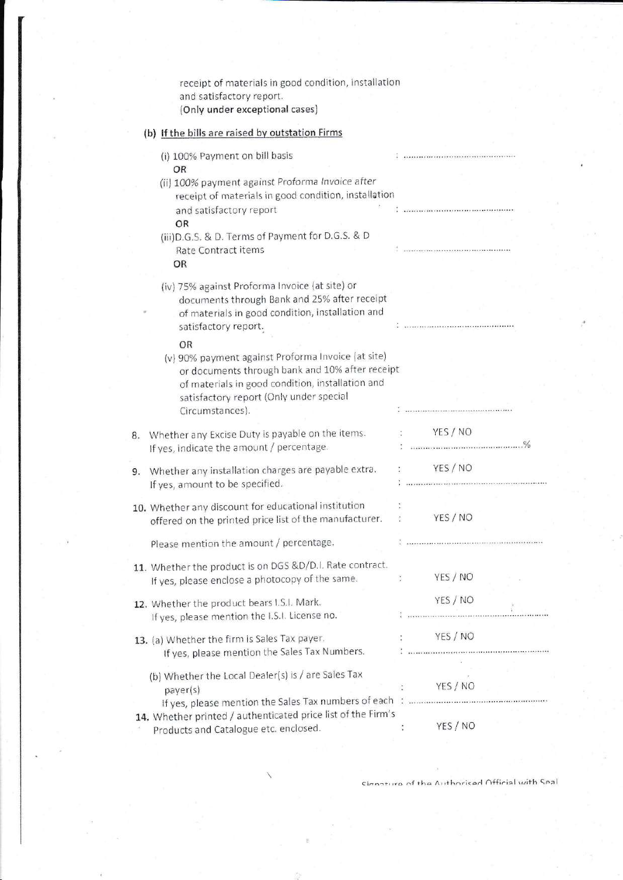|    | receipt of materials in good condition, installation<br>and satisfactory report.<br>(Only under exceptional cases)                                                                                                            |                |                                                                                                                   |
|----|-------------------------------------------------------------------------------------------------------------------------------------------------------------------------------------------------------------------------------|----------------|-------------------------------------------------------------------------------------------------------------------|
|    | (b) If the bills are raised by outstation Firms                                                                                                                                                                               |                |                                                                                                                   |
|    | (i) 100% Payment on bill basis<br>OR                                                                                                                                                                                          |                | *********************************                                                                                 |
|    | (ii) 100% payment against Proforma Invoice after<br>receipt of materials in good condition, installation<br>and satisfactory report<br>OR                                                                                     |                |                                                                                                                   |
|    | (iii) D.G.S. & D. Terms of Payment for D.G.S. & D<br>Rate Contract items<br><b>OR</b>                                                                                                                                         |                | a<br>A consequencement to the contract of the consequence of the                                                  |
|    | (iv) 75% against Proforma Invoice (at site) or<br>documents through Bank and 25% after receipt<br>of materials in good condition, installation and<br>satisfactory report.                                                    |                |                                                                                                                   |
|    | OR<br>(v) 90% payment against Proforma Invoice (at site)<br>or documents through bank and 10% after receipt<br>of materials in good condition, installation and<br>satisfactory report (Only under special<br>Circumstances). |                |                                                                                                                   |
| 8. | Whether any Excise Duty is payable on the items.<br>If yes, indicate the amount / percentage.                                                                                                                                 |                | YES / NO                                                                                                          |
| 9. | Whether any installation charges are payable extra.<br>If yes, amount to be specified.                                                                                                                                        |                | YES / NO                                                                                                          |
|    | 10. Whether any discount for educational institution<br>offered on the printed price list of the manufacturer.                                                                                                                |                | YES / NO                                                                                                          |
|    | Please mention the amount / percentage.                                                                                                                                                                                       |                |                                                                                                                   |
|    | 11. Whether the product is on DGS &D/D.I. Rate contract.<br>If yes, please enclose a photocopy of the same.                                                                                                                   | $\ddot{\cdot}$ | YES / NO                                                                                                          |
|    | 12. Whether the product bears I.S.I. Mark.<br>If yes, please mention the I.S.I. License no.                                                                                                                                   |                | YES / NO                                                                                                          |
|    | 13. (a) Whether the firm is Sales Tax payer.<br>If yes, please mention the Sales Tax Numbers.                                                                                                                                 |                | YES / NO<br>$\ddot{\ddot{\tau}}$ . The construction of the mass construction of the construction of the $\dot{H}$ |
|    | (b) Whether the Local Dealer(s) is / are Sales Tax<br>payer(s)<br>14. Whether printed / authenticated price list of the Firm's                                                                                                |                | YES/NO<br>YES / NO                                                                                                |
|    | Products and Catalogue etc. enclosed.                                                                                                                                                                                         |                |                                                                                                                   |

Cianaturo of the Authoriced Official with Seal